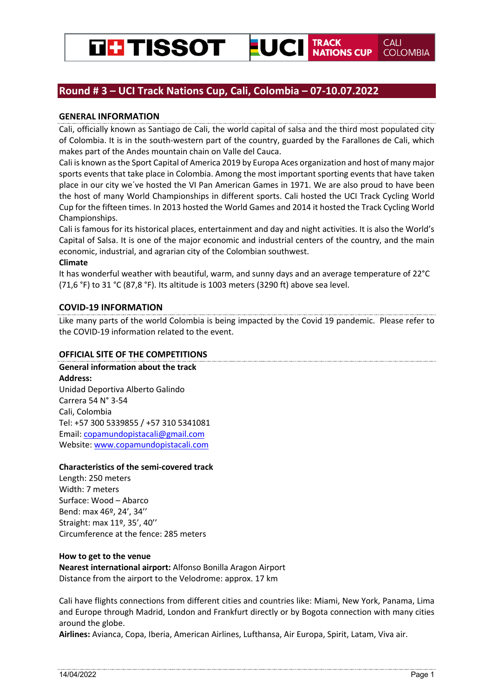

# **Round # 3 – UCI Track Nations Cup, Cali, Colombia – 07-10.07.2022**

# **GENERAL INFORMATION**

Cali, officially known as Santiago de Cali, the world capital of salsa and the third most populated city of Colombia. It is in the south-western part of the country, guarded by the Farallones de Cali, which makes part of the Andes mountain chain on Valle del Cauca.

Cali is known as the Sport Capital of America 2019 by Europa Aces organization and host of many major sports events that take place in Colombia. Among the most important sporting events that have taken place in our city we´ve hosted the VI Pan American Games in 1971. We are also proud to have been the host of many World Championships in different sports. Cali hosted the UCI Track Cycling World Cup for the fifteen times. In 2013 hosted the World Games and 2014 it hosted the Track Cycling World Championships.

Cali is famous for its historical places, entertainment and day and night activities. It is also the World's Capital of Salsa. It is one of the major economic and industrial centers of the country, and the main economic, industrial, and agrarian city of the Colombian southwest.

# **Climate**

It has wonderful weather with beautiful, warm, and sunny days and an average temperature of 22°C (71,6 °F) to 31 °C (87,8 °F). Its altitude is 1003 meters (3290 ft) above sea level.

# **COVID-19 INFORMATION**

Like many parts of the world Colombia is being impacted by the Covid 19 pandemic. Please refer to the COVID-19 information related to the event.

# **OFFICIAL SITE OF THE COMPETITIONS**

**General information about the track Address:** 

Unidad Deportiva Alberto Galindo Carrera 54 N° 3-54 Cali, Colombia Tel: +57 300 5339855 / +57 310 5341081 Email: copamundopistacali@gmail.com Website: www.copamundopistacali.com

# **Characteristics of the semi-covered track**

Length: 250 meters Width: 7 meters Surface: Wood – Abarco Bend: max 46º, 24', 34'' Straight: max 11º, 35', 40'' Circumference at the fence: 285 meters

# **How to get to the venue**

**Nearest international airport:** Alfonso Bonilla Aragon Airport Distance from the airport to the Velodrome: approx. 17 km

Cali have flights connections from different cities and countries like: Miami, New York, Panama, Lima and Europe through Madrid, London and Frankfurt directly or by Bogota connection with many cities around the globe.

**Airlines:** Avianca, Copa, Iberia, American Airlines, Lufthansa, Air Europa, Spirit, Latam, Viva air.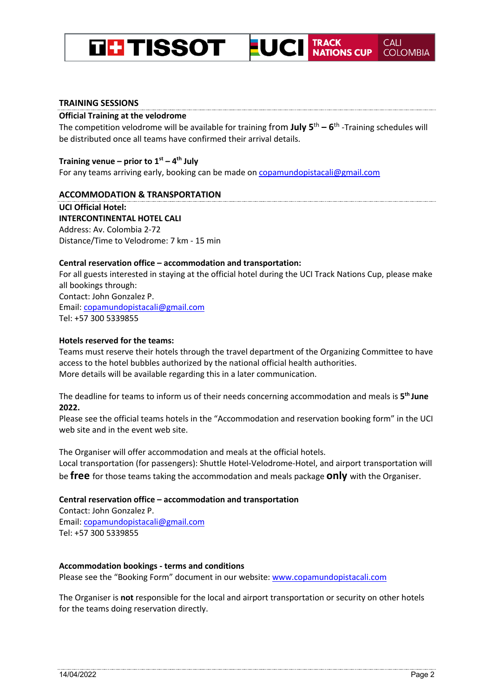#### **TRACK<br>NATIONS CUP TH TISSOT** EUCI **COLOMBIA**

### **Official Training at the velodrome**

The competition velodrome will be available for training from **July 5**th **– 6**th -Training schedules will be distributed once all teams have confirmed their arrival details.

### **Training venue – prior to 1st – 4th July**

For any teams arriving early, booking can be made on copamundopistacali@gmail.com

### **ACCOMMODATION & TRANSPORTATION**

**UCI Official Hotel: INTERCONTINENTAL HOTEL CALI**  Address: Av. Colombia 2-72 Distance/Time to Velodrome: 7 km - 15 min

### **Central reservation office – accommodation and transportation:**

For all guests interested in staying at the official hotel during the UCI Track Nations Cup, please make all bookings through: Contact: John Gonzalez P. Email: copamundopistacali@gmail.com Tel: +57 300 5339855

# **Hotels reserved for the teams:**

Teams must reserve their hotels through the travel department of the Organizing Committee to have access to the hotel bubbles authorized by the national official health authorities. More details will be available regarding this in a later communication.

The deadline for teams to inform us of their needs concerning accommodation and meals is **5th June 2022.** 

Please see the official teams hotels in the "Accommodation and reservation booking form" in the UCI web site and in the event web site.

The Organiser will offer accommodation and meals at the official hotels. Local transportation (for passengers): Shuttle Hotel-Velodrome-Hotel, and airport transportation will

be **free** for those teams taking the accommodation and meals package **only** with the Organiser.

# **Central reservation office – accommodation and transportation**

Contact: John Gonzalez P. Email: copamundopistacali@gmail.com Tel: +57 300 5339855

# **Accommodation bookings - terms and conditions**

Please see the "Booking Form" document in our website: www.copamundopistacali.com

The Organiser is **not** responsible for the local and airport transportation or security on other hotels for the teams doing reservation directly.

**CALI**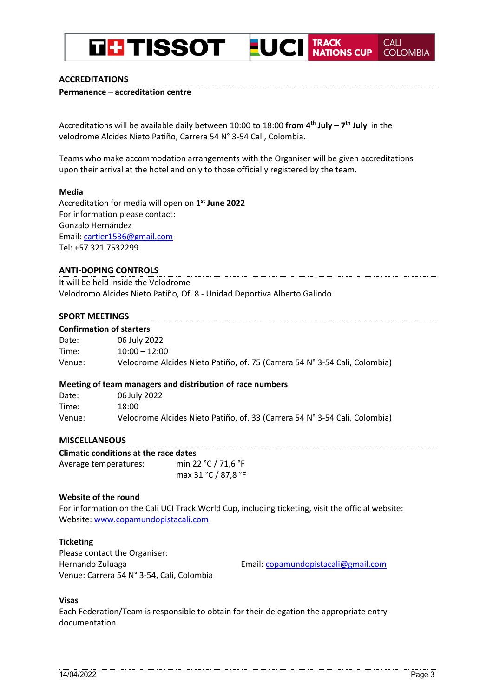# **LUCI** TRACK NATIONS CUP **THE TISSOT**

# **ACCREDITATIONS**

**Permanence – accreditation centre** 

Accreditations will be available daily between 10:00 to 18:00 **from 4th July – 7th July** in the velodrome Alcides Nieto Patiño, Carrera 54 N° 3-54 Cali, Colombia.

Teams who make accommodation arrangements with the Organiser will be given accreditations upon their arrival at the hotel and only to those officially registered by the team.

### **Media**

Accreditation for media will open on **1st June 2022** For information please contact: Gonzalo Hernández Email: cartier1536@gmail.com Tel: +57 321 7532299

# **ANTI-DOPING CONTROLS**

It will be held inside the Velodrome Velodromo Alcides Nieto Patiño, Of. 8 - Unidad Deportiva Alberto Galindo

# **SPORT MEETINGS**

| ----------------- |                                 |  |  |  |  |
|-------------------|---------------------------------|--|--|--|--|
|                   | <b>Confirmation of starters</b> |  |  |  |  |
| Date:             | 06 July 2022                    |  |  |  |  |
| $- \cdot$         | $\overline{\phantom{a}}$        |  |  |  |  |

| Time:  | $10:00 - 12:00$                                                            |
|--------|----------------------------------------------------------------------------|
| Venue: | Velodrome Alcides Nieto Patiño, of. 75 (Carrera 54 N° 3-54 Cali, Colombia) |

### **Meeting of team managers and distribution of race numbers**

| Date:  | 06 July 2022                                                               |
|--------|----------------------------------------------------------------------------|
| Time:  | 18:00                                                                      |
| Venue: | Velodrome Alcides Nieto Patiño, of. 33 (Carrera 54 N° 3-54 Cali, Colombia) |

### **MISCELLANEOUS**

| Climatic conditions at the race dates |                     |  |  |  |
|---------------------------------------|---------------------|--|--|--|
| Average temperatures:                 | min 22 °C / 71,6 °F |  |  |  |
|                                       | max 31 °C / 87,8 °F |  |  |  |

# **Website of the round**

For information on the Cali UCI Track World Cup, including ticketing, visit the official website: Website: www.copamundopistacali.com

### **Ticketing**

Please contact the Organiser: Hernando Zuluaga Venue: Carrera 54 N° 3-54, Cali, Colombia

Email: copamundopistacali@gmail.com

### **Visas**

Each Federation/Team is responsible to obtain for their delegation the appropriate entry documentation.